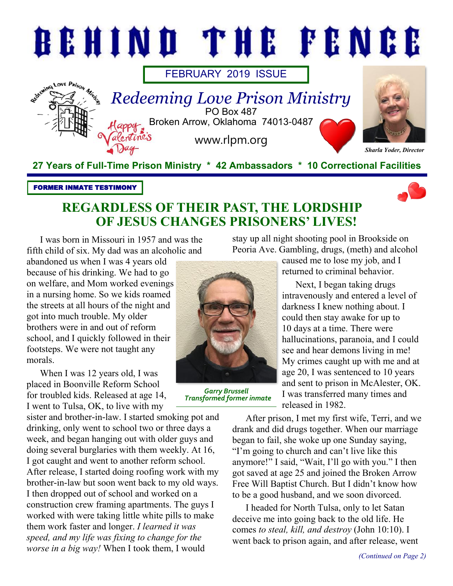

#### FORMER INMATE TESTIMONY



## **REGARDLESS OF THEIR PAST, THE LORDSHIP OF JESUS CHANGES PRISONERS' LIVES!**

I was born in Missouri in 1957 and was the fifth child of six. My dad was an alcoholic and

abandoned us when I was 4 years old because of his drinking. We had to go on welfare, and Mom worked evenings in a nursing home. So we kids roamed the streets at all hours of the night and got into much trouble. My older brothers were in and out of reform school, and I quickly followed in their footsteps. We were not taught any morals.

When I was 12 years old, I was placed in Boonville Reform School for troubled kids. Released at age 14, I went to Tulsa, OK, to live with my

sister and brother-in-law. I started smoking pot and drinking, only went to school two or three days a week, and began hanging out with older guys and doing several burglaries with them weekly. At 16, I got caught and went to another reform school. After release, I started doing roofing work with my brother-in-law but soon went back to my old ways. I then dropped out of school and worked on a construction crew framing apartments. The guys I worked with were taking little white pills to make them work faster and longer. *I learned it was speed, and my life was fixing to change for the worse in a big way!* When I took them, I would



*Garry Brussell Transformed former inmate*

stay up all night shooting pool in Brookside on Peoria Ave. Gambling, drugs, (meth) and alcohol

> caused me to lose my job, and I returned to criminal behavior.

Next, I began taking drugs intravenously and entered a level of darkness I knew nothing about. I could then stay awake for up to 10 days at a time. There were hallucinations, paranoia, and I could see and hear demons living in me! My crimes caught up with me and at age 20, I was sentenced to 10 years and sent to prison in McAlester, OK. I was transferred many times and released in 1982.

After prison, I met my first wife, Terri, and we drank and did drugs together. When our marriage began to fail, she woke up one Sunday saying, "I'm going to church and can't live like this anymore!" I said, "Wait, I'll go with you." I then got saved at age 25 and joined the Broken Arrow Free Will Baptist Church. But I didn't know how to be a good husband, and we soon divorced.

I headed for North Tulsa, only to let Satan deceive me into going back to the old life. He comes *to steal, kill, and destroy* (John 10:10). I went back to prison again, and after release, went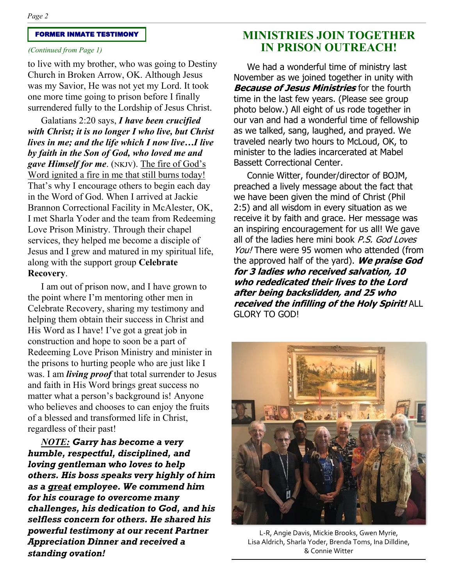#### FORMER INMATE TESTIMONY

#### *(Continued from Page 1)*

to live with my brother, who was going to Destiny Church in Broken Arrow, OK. Although Jesus was my Savior, He was not yet my Lord. It took one more time going to prison before I finally surrendered fully to the Lordship of Jesus Christ.

Galatians 2:20 says, *I have been crucified with Christ; it is no longer I who live, but Christ lives in me; and the life which I now live…I live by faith in the Son of God, who loved me and gave Himself for me*. (nkjv). The fire of God's Word ignited a fire in me that still burns today! That's why I encourage others to begin each day in the Word of God. When I arrived at Jackie Brannon Correctional Facility in McAlester, OK, I met Sharla Yoder and the team from Redeeming Love Prison Ministry. Through their chapel services, they helped me become a disciple of Jesus and I grew and matured in my spiritual life, along with the support group **Celebrate Recovery**.

I am out of prison now, and I have grown to the point where I'm mentoring other men in Celebrate Recovery, sharing my testimony and helping them obtain their success in Christ and His Word as I have! I've got a great job in construction and hope to soon be a part of Redeeming Love Prison Ministry and minister in the prisons to hurting people who are just like I was. I am *living proof* that total surrender to Jesus and faith in His Word brings great success no matter what a person's background is! Anyone who believes and chooses to can enjoy the fruits of a blessed and transformed life in Christ, regardless of their past!

*NOTE: Garry has become a very humble, respectful, disciplined, and loving gentleman who loves to help others. His boss speaks very highly of him as a great employee. We commend him for his courage to overcome many challenges, his dedication to God, and his selfless concern for others. He shared his powerful testimony at our recent Partner Appreciation Dinner and received a standing ovation!* 

### **MINISTRIES JOIN TOGETHER IN PRISON OUTREACH!**

We had a wonderful time of ministry last November as we joined together in unity with **Because of Jesus Ministries** for the fourth time in the last few years. (Please see group photo below.) All eight of us rode together in our van and had a wonderful time of fellowship as we talked, sang, laughed, and prayed. We traveled nearly two hours to McLoud, OK, to minister to the ladies incarcerated at Mabel Bassett Correctional Center.

Connie Witter, founder/director of BOJM, preached a lively message about the fact that we have been given the mind of Christ (Phil 2:5) and all wisdom in every situation as we receive it by faith and grace. Her message was an inspiring encouragement for us all! We gave all of the ladies here mini book P.S. God Loves You! There were 95 women who attended (from the approved half of the yard). **We praise God for 3 ladies who received salvation, 10 who rededicated their lives to the Lord after being backslidden, and 25 who received the infilling of the Holy Spirit!** ALL GLORY TO GOD!



L-R, Angie Davis, Mickie Brooks, Gwen Myrie, Lisa Aldrich, Sharla Yoder, Brenda Toms, Ina Dilldine, & Connie Witter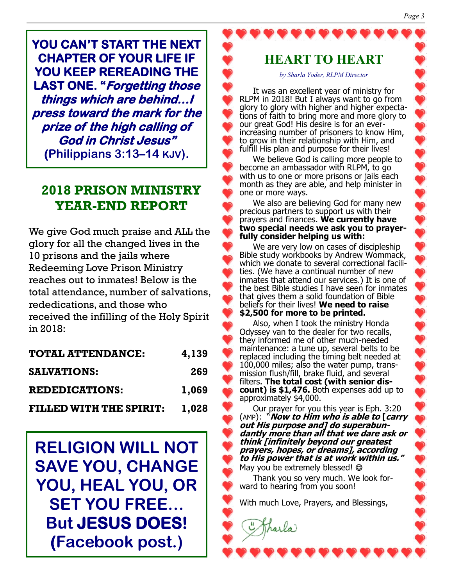**YOU CAN'T START THE NEXT CHAPTER OF YOUR LIFE IF YOU KEEP REREADING THE LAST ONE. "Forgetting those things which are behind…I press toward the mark for the prize of the high calling of God in Christ Jesus" (Philippians 3:13–14 KJV).**

## **2018 PRISON MINISTRY YEAR-END REPORT**

We give God much praise and ALL the glory for all the changed lives in the 10 prisons and the jails where Redeeming Love Prison Ministry reaches out to inmates! Below is the total attendance, number of salvations, rededications, and those who received the infilling of the Holy Spirit in 2018:

| <b>TOTAL ATTENDANCE:</b>       | 4,139 |
|--------------------------------|-------|
| <b>SALVATIONS:</b>             | 269   |
| <b>REDEDICATIONS:</b>          | 1,069 |
| <b>FILLED WITH THE SPIRIT:</b> | 1,028 |

**RELIGION WILL NOT SAVE YOU, CHANGE YOU, HEAL YOU, OR SET YOU FREE… But JESUS DOES! (Facebook post.)**

### **HEART TO HEART**

*by Sharla Yoder, RLPM Director*

It was an excellent year of ministry for RLPM in 2018! But I always want to go from glory to glory with higher and higher expectations of faith to bring more and more glory to our great God! His desire is for an everincreasing number of prisoners to know Him, to grow in their relationship with Him, and fulfill His plan and purpose for their lives!

We believe God is calling more people to become an ambassador with RLPM, to go with us to one or more prisons or jails each month as they are able, and help minister in one or more ways.

We also are believing God for many new precious partners to support us with their prayers and finances. **We currently have two special needs we ask you to prayerfully consider helping us with:**

We are very low on cases of discipleship Bible study workbooks by Andrew Wommack, which we donate to several correctional facilities. (We have a continual number of new inmates that attend our services.) It is one of the best Bible studies I have seen for inmates that gives them a solid foundation of Bible beliefs for their lives! **We need to raise \$2,500 for more to be printed.**

Also, when I took the ministry Honda Odyssey van to the dealer for two recalls, they informed me of other much-needed maintenance: a tune up, several belts to be replaced including the timing belt needed at 100,000 miles; also the water pump, transmission flush/fill, brake fluid, and several filters. **The total cost (with senior discount) is \$1,476.** Both expenses add up to approximately \$4,000.

Our prayer for you this year is Eph. 3:20 (AMP): "**Now to Him who is able to [carry out His purpose and] do superabundantly more than all that we dare ask or think [infinitely beyond our greatest prayers, hopes, or dreams], according to His power that is at work within us."**  May you be extremely blessed! ©

Thank you so very much. We look forward to hearing from you soon!

With much Love, Prayers, and Blessings,

i Tharla